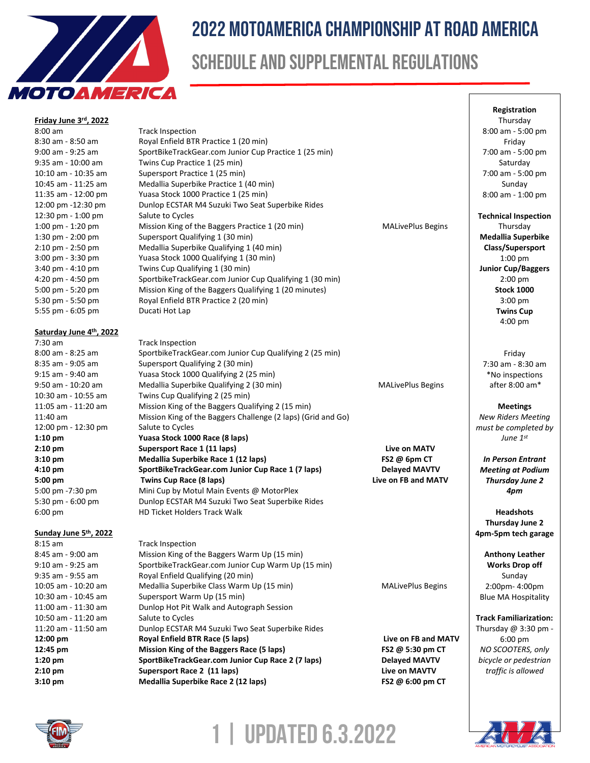

# 2022 MotoAmerica Championship At Road America

# Schedule and supplemental regulations

| 9 I OAM ERICA           |                                                                                     |                          |                                        |
|-------------------------|-------------------------------------------------------------------------------------|--------------------------|----------------------------------------|
|                         |                                                                                     |                          | Registration                           |
| Friday June 3rd, 2022   |                                                                                     |                          | Thursday                               |
| $8:00$ am               | <b>Track Inspection</b>                                                             |                          | 8:00 am - 5:00 pm                      |
| 8:30 am - 8:50 am       | Royal Enfield BTR Practice 1 (20 min)                                               |                          | Friday                                 |
| 9:00 am - 9:25 am       | SportBikeTrackGear.com Junior Cup Practice 1 (25 min)                               |                          | 7:00 am - 5:00 pm                      |
| 9:35 am - 10:00 am      | Twins Cup Practice 1 (25 min)                                                       |                          | Saturday                               |
| 10:10 am - 10:35 am     | Supersport Practice 1 (25 min)                                                      |                          | 7:00 am - 5:00 pm                      |
| 10:45 am - 11:25 am     | Medallia Superbike Practice 1 (40 min)                                              |                          | Sunday                                 |
| 11:35 am - 12:00 pm     | Yuasa Stock 1000 Practice 1 (25 min)                                                |                          | 8:00 am - 1:00 pm                      |
| 12:00 pm -12:30 pm      | Dunlop ECSTAR M4 Suzuki Two Seat Superbike Rides                                    |                          |                                        |
| 12:30 pm - 1:00 pm      | Salute to Cycles                                                                    |                          | <b>Technical Inspection</b>            |
| 1:00 pm - 1:20 pm       | Mission King of the Baggers Practice 1 (20 min)                                     | <b>MALivePlus Begins</b> | Thursday                               |
| 1:30 pm - 2:00 pm       | Supersport Qualifying 1 (30 min)                                                    |                          | <b>Medallia Superbike</b>              |
| 2:10 pm - 2:50 pm       | Medallia Superbike Qualifying 1 (40 min)                                            |                          | Class/Supersport                       |
| $3:00$ pm - $3:30$ pm   | Yuasa Stock 1000 Qualifying 1 (30 min)                                              |                          | $1:00$ pm                              |
| 3:40 pm - 4:10 pm       | Twins Cup Qualifying 1 (30 min)                                                     |                          | <b>Junior Cup/Baggers</b>              |
| 4:20 pm - 4:50 pm       | SportbikeTrackGear.com Junior Cup Qualifying 1 (30 min)                             |                          | $2:00$ pm                              |
| 5:00 pm - 5:20 pm       | Mission King of the Baggers Qualifying 1 (20 minutes)                               |                          | <b>Stock 1000</b>                      |
| 5:30 pm - 5:50 pm       | Royal Enfield BTR Practice 2 (20 min)                                               |                          | $3:00$ pm                              |
| 5:55 pm - 6:05 pm       | Ducati Hot Lap                                                                      |                          | <b>Twins Cup</b>                       |
|                         |                                                                                     |                          | 4:00 pm                                |
| Saturday June 4th, 2022 |                                                                                     |                          |                                        |
| $7:30$ am               | <b>Track Inspection</b>                                                             |                          |                                        |
| 8:00 am - 8:25 am       | SportbikeTrackGear.com Junior Cup Qualifying 2 (25 min)                             |                          | Friday                                 |
| 8:35 am - 9:05 am       | Supersport Qualifying 2 (30 min)                                                    |                          | 7:30 am - 8:30 am                      |
| 9:15 am - 9:40 am       | Yuasa Stock 1000 Qualifying 2 (25 min)                                              |                          | *No inspections                        |
| 9:50 am - 10:20 am      | Medallia Superbike Qualifying 2 (30 min)                                            | <b>MALivePlus Begins</b> | after 8:00 am*                         |
| 10:30 am - 10:55 am     | Twins Cup Qualifying 2 (25 min)                                                     |                          |                                        |
| 11:05 am - 11:20 am     | Mission King of the Baggers Qualifying 2 (15 min)                                   |                          | <b>Meetings</b>                        |
| 11:40 am                | Mission King of the Baggers Challenge (2 laps) (Grid and Go)                        |                          | <b>New Riders Meeting</b>              |
| 12:00 pm - 12:30 pm     | Salute to Cycles                                                                    |                          | must be completed by                   |
| $1:10$ pm               | Yuasa Stock 1000 Race (8 laps)                                                      |                          | June $1^{st}$                          |
| $2:10$ pm               | Supersport Race 1 (11 laps)                                                         | Live on MATV             |                                        |
| $3:10$ pm               | Medallia Superbike Race 1 (12 laps)                                                 | FS2 @ 6pm CT             | <b>In Person Entrant</b>               |
| 4:10 pm                 | SportBikeTrackGear.com Junior Cup Race 1 (7 laps)                                   | <b>Delayed MAVTV</b>     | <b>Meeting at Podium</b>               |
| 5:00 pm                 | Twins Cup Race (8 laps)                                                             | Live on FB and MATV      | <b>Thursday June 2</b>                 |
| 5:00 pm -7:30 pm        | Mini Cup by Motul Main Events @ MotorPlex                                           |                          | 4pm                                    |
| 5:30 pm - 6:00 pm       | Dunlop ECSTAR M4 Suzuki Two Seat Superbike Rides                                    |                          |                                        |
| $6:00 \text{ pm}$       | HD Ticket Holders Track Walk                                                        |                          | <b>Headshots</b>                       |
|                         |                                                                                     |                          | Thursday June 2                        |
| Sunday June 5th, 2022   |                                                                                     |                          | 4pm-5pm tech garage                    |
| $8:15$ am               | <b>Track Inspection</b>                                                             |                          |                                        |
| 8:45 am - 9:00 am       | Mission King of the Baggers Warm Up (15 min)                                        |                          | <b>Anthony Leather</b>                 |
| 9:10 am - 9:25 am       | SportbikeTrackGear.com Junior Cup Warm Up (15 min)                                  |                          | <b>Works Drop off</b>                  |
| 9:35 am - 9:55 am       | Royal Enfield Qualifying (20 min)                                                   |                          | Sunday                                 |
| 10:05 am - 10:20 am     | Medallia Superbike Class Warm Up (15 min)                                           | <b>MALivePlus Begins</b> | 2:00pm-4:00pm                          |
| 10:30 am - 10:45 am     | Supersport Warm Up (15 min)                                                         |                          | <b>Blue MA Hospitality</b>             |
| 11:00 am - 11:30 am     | Dunlop Hot Pit Walk and Autograph Session                                           |                          |                                        |
| 10:50 am - 11:20 am     | Salute to Cycles                                                                    |                          | <b>Track Familiarization:</b>          |
| 11:20 am - 11:50 am     | Dunlop ECSTAR M4 Suzuki Two Seat Superbike Rides<br>Royal Enfield BTR Race (5 laps) | Live on FB and MATV      | Thursday @ 3:30 pm -                   |
| 12:00 pm<br>12:45 pm    | Mission King of the Baggers Race (5 laps)                                           | FS2 @ 5:30 pm CT         | $6:00 \text{ pm}$<br>NO SCOOTERS, only |
| $1:20$ pm               | SportBikeTrackGear.com Junior Cup Race 2 (7 laps)                                   | <b>Delayed MAVTV</b>     | bicycle or pedestrian                  |
| $2:10$ pm               | Supersport Race 2 (11 laps)                                                         | Live on MAVTV            | traffic is allowed                     |
| $3:10 \text{ pm}$       | Medallia Superbike Race 2 (12 laps)                                                 | FS2 @ 6:00 pm CT         |                                        |
|                         |                                                                                     |                          |                                        |



**1 | Updated 6.3.2022**